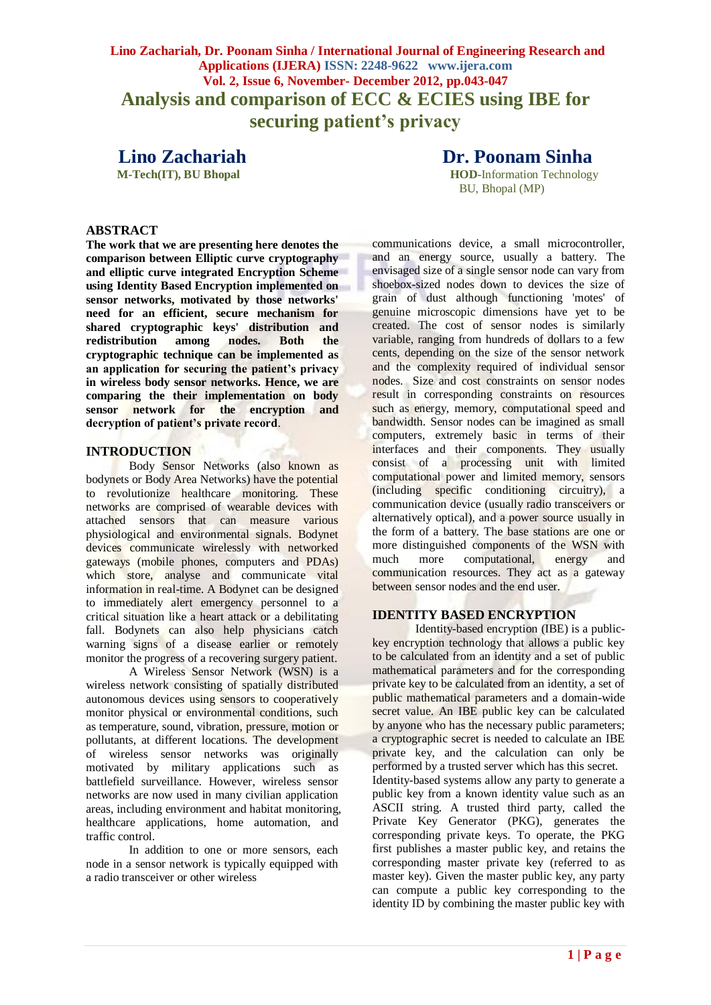**Lino Zachariah, Dr. Poonam Sinha / International Journal of Engineering Research and Applications (IJERA) ISSN: 2248-9622 www.ijera.com Vol. 2, Issue 6, November- December 2012, pp.043-047 Analysis and comparison of ECC & ECIES using IBE for securing patient's privacy**

**Lino Zachariah Dr. Poonam Sinha**

**M-Tech(IT), BU Bhopal HOD-**Information Technology BU, Bhopal (MP)

## **ABSTRACT**

**The work that we are presenting here denotes the comparison between Elliptic curve cryptography and elliptic curve integrated Encryption Scheme using Identity Based Encryption implemented on sensor networks, motivated by those networks' need for an efficient, secure mechanism for shared cryptographic keys' distribution and redistribution among nodes. Both the cryptographic technique can be implemented as an application for securing the patient's privacy in wireless body sensor networks. Hence, we are comparing the their implementation on body sensor network for the encryption and decryption of patient's private record**.

### **INTRODUCTION**

Body Sensor Networks (also known as bodynets or Body Area Networks) have the potential to revolutionize healthcare monitoring. These networks are comprised of wearable devices with attached sensors that can measure various physiological and environmental signals. Bodynet devices communicate wirelessly with networked gateways (mobile phones, computers and PDAs) which store, analyse and communicate vital information in real-time. A Bodynet can be designed to immediately alert emergency personnel to a critical situation like a heart attack or a debilitating fall. Bodynets can also help physicians catch warning signs of a disease earlier or remotely monitor the progress of a recovering surgery patient.

A Wireless Sensor Network (WSN) is a wireless network consisting of spatially distributed autonomous devices using sensors to cooperatively monitor physical or environmental conditions, such as temperature, sound, vibration, pressure, motion or pollutants, at different locations. The development of wireless sensor networks was originally motivated by military applications such as battlefield surveillance. However, wireless sensor networks are now used in many civilian application areas, including environment and habitat monitoring, healthcare applications, home automation, and traffic control.

In addition to one or more sensors, each node in a sensor network is typically equipped with a radio transceiver or other wireless

communications device, a small microcontroller, and an energy source, usually a battery. The envisaged size of a single sensor node can vary from shoebox-sized nodes down to devices the size of grain of dust although functioning 'motes' of genuine microscopic dimensions have yet to be created. The cost of sensor nodes is similarly variable, ranging from hundreds of dollars to a few cents, depending on the size of the sensor network and the complexity required of individual sensor nodes. Size and cost constraints on sensor nodes result in corresponding constraints on resources such as energy, memory, computational speed and bandwidth. Sensor nodes can be imagined as small computers, extremely basic in terms of their interfaces and their components. They usually consist of a processing unit with limited computational power and limited memory, sensors (including specific conditioning circuitry), a communication device (usually radio transceivers or alternatively optical), and a power source usually in the form of a battery. The base stations are one or more distinguished components of the WSN with much more computational, energy and communication resources. They act as a gateway between sensor nodes and the end user.

### **IDENTITY BASED ENCRYPTION**

Identity-based encryption (IBE) is a publickey encryption technology that allows a public key to be calculated from an identity and a set of public mathematical parameters and for the corresponding private key to be calculated from an identity, a set of public mathematical parameters and a domain-wide secret value. An IBE public key can be calculated by anyone who has the necessary public parameters; a cryptographic secret is needed to calculate an IBE private key, and the calculation can only be performed by a trusted server which has this secret. Identity-based systems allow any party to generate a public key from a known identity value such as an ASCII string. A trusted third party, called the Private Key Generator (PKG), generates the corresponding private keys. To operate, the PKG first publishes a master public key, and retains the corresponding master private key (referred to as master key). Given the master public key, any party can compute a public key corresponding to the identity ID by combining the master public key with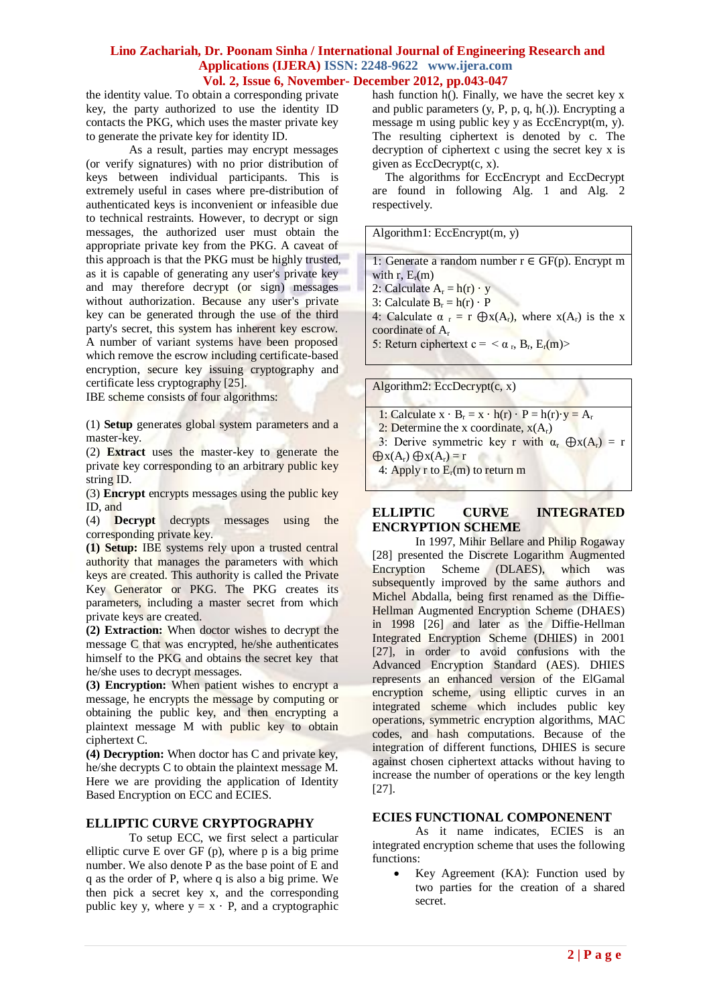the identity value. To obtain a corresponding private key, the party authorized to use the identity ID contacts the PKG, which uses the master private key to generate the private key for identity ID.

As a result, parties may encrypt messages (or verify signatures) with no prior distribution of keys between individual participants. This is extremely useful in cases where pre-distribution of authenticated keys is inconvenient or infeasible due to technical restraints. However, to decrypt or sign messages, the authorized user must obtain the appropriate private key from the PKG. A caveat of this approach is that the PKG must be highly trusted, as it is capable of generating any user's private key and may therefore decrypt (or sign) messages without authorization. Because any user's private key can be generated through the use of the third party's secret, this system has inherent key escrow. A number of variant systems have been proposed which remove the escrow including certificate-based encryption, secure key issuing cryptography and certificate less cryptography [25].

IBE scheme consists of four algorithms:

(1) **Setup** generates global system parameters and a master-key.

(2) **Extract** uses the master-key to generate the private key corresponding to an arbitrary public key string ID.

(3) **Encrypt** encrypts messages using the public key ID, and

(4) **Decrypt** decrypts messages using the corresponding private key.

**(1) Setup:** IBE systems rely upon a trusted central authority that manages the parameters with which keys are created. This authority is called the Private Key Generator or PKG. The PKG creates its parameters, including a master secret from which private keys are created.

**(2) Extraction:** When doctor wishes to decrypt the message C that was encrypted, he/she authenticates himself to the PKG and obtains the secret key that he/she uses to decrypt messages.

**(3) Encryption:** When patient wishes to encrypt a message, he encrypts the message by computing or obtaining the public key, and then encrypting a plaintext message M with public key to obtain ciphertext C.

**(4) Decryption:** When doctor has C and private key, he/she decrypts C to obtain the plaintext message M. Here we are providing the application of Identity Based Encryption on ECC and ECIES.

### **ELLIPTIC CURVE CRYPTOGRAPHY**

To setup ECC, we first select a particular elliptic curve E over GF (p), where p is a big prime number. We also denote P as the base point of E and q as the order of P, where q is also a big prime. We then pick a secret key x, and the corresponding public key y, where  $y = x \cdot P$ , and a cryptographic hash function h(). Finally, we have the secret key x and public parameters  $(y, P, p, q, h(.)$ ). Encrypting a message m using public key y as EccEncrypt(m, y). The resulting ciphertext is denoted by c. The decryption of ciphertext c using the secret key x is given as EccDecrypt(c, x).

The algorithms for EccEncrypt and EccDecrypt are found in following Alg. 1 and Alg. 2 respectively.

Algorithm1: EccEncrypt(m, y)

1: Generate a random number  $r$  ∈ GF(p). Encrypt m with  $r, E_r(m)$ 2: Calculate  $A_r = h(r) \cdot y$ 3: Calculate  $B_r = h(r) \cdot P$ 4: Calculate  $\alpha_r = r \bigoplus x(A_r)$ , where  $x(A_r)$  is the x coordinate of A<sub>r</sub> 5: Return ciphertext  $c = \langle \alpha_r, B_r, E_r(m) \rangle$ 

Algorithm2: EccDecrypt(c, x)

1: Calculate  $x \cdot B_r = x \cdot h(r) \cdot P = h(r) \cdot y = A_r$ 

2: Determine the x coordinate,  $x(A_r)$ 

3: Derive symmetric key r with  $\alpha_r$   $\bigoplus x(A_r) = r$ 

 $\bigoplus x(A_r) \bigoplus x(A_r) = r$ 

4: Apply r to  $E_r(m)$  to return m

# **ELLIPTIC CURVE INTEGRATED ENCRYPTION SCHEME**

In 1997, Mihir Bellare and Philip Rogaway [28] presented the Discrete Logarithm Augmented Encryption Scheme (DLAES), which was subsequently improved by the same authors and Michel Abdalla, being first renamed as the Diffie-Hellman Augmented Encryption Scheme (DHAES) in 1998 [26] and later as the Diffie-Hellman Integrated Encryption Scheme (DHIES) in 2001 [27], in order to avoid confusions with the Advanced Encryption Standard (AES). DHIES represents an enhanced version of the ElGamal encryption scheme, using elliptic curves in an integrated scheme which includes public key operations, symmetric encryption algorithms, MAC codes, and hash computations. Because of the integration of different functions, DHIES is secure against chosen ciphertext attacks without having to increase the number of operations or the key length [27].

### **ECIES FUNCTIONAL COMPONENENT**

As it name indicates, ECIES is an integrated encryption scheme that uses the following functions:

• Key Agreement (KA): Function used by two parties for the creation of a shared secret.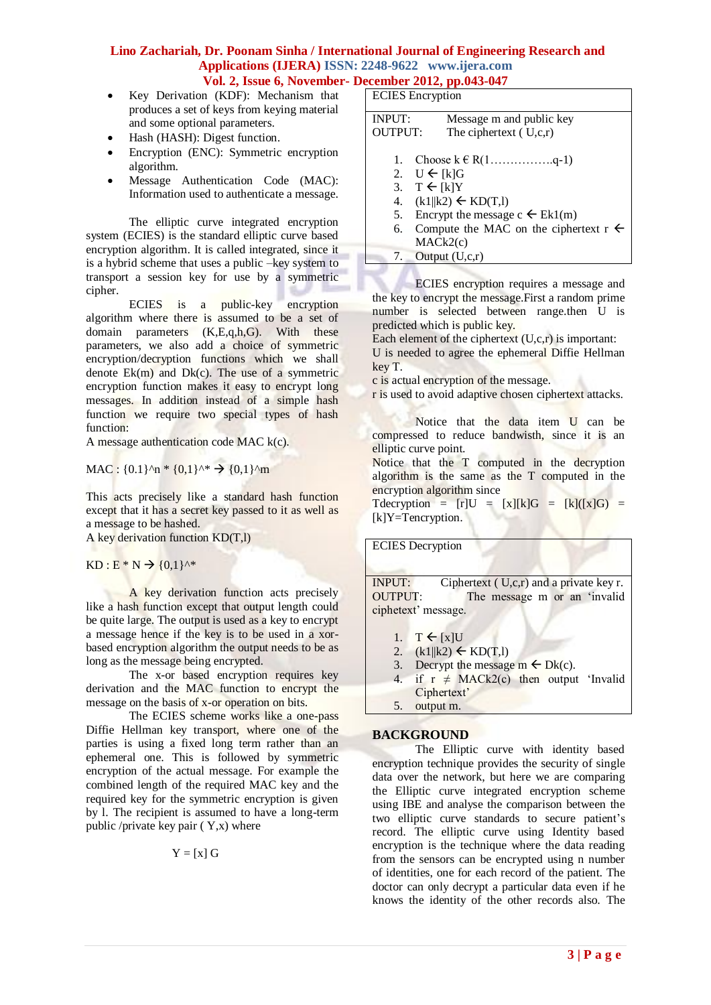- Key Derivation (KDF): Mechanism that produces a set of keys from keying material and some optional parameters.
- Hash (HASH): Digest function.
- Encryption (ENC): Symmetric encryption algorithm.
- Message Authentication Code (MAC): Information used to authenticate a message.

The elliptic curve integrated encryption system (ECIES) is the standard elliptic curve based encryption algorithm. It is called integrated, since it is a hybrid scheme that uses a public –key system to transport a session key for use by a symmetric cipher.

ECIES is a public-key encryption algorithm where there is assumed to be a set of domain parameters (K,E,q,h,G). With these parameters, we also add a choice of symmetric encryption/decryption functions which we shall denote Ek(m) and Dk(c). The use of a symmetric encryption function makes it easy to encrypt long messages. In addition instead of a simple hash function we require two special types of hash function:

A message authentication code MAC k(c).

 $MAC: \{0.1\}^n * \{0.1\}^n * \rightarrow \{0.1\}^n$ 

This acts precisely like a standard hash function except that it has a secret key passed to it as well as a message to be hashed.

A key derivation function KD(T,l)

 $KD: E * N \to \{0,1\}^{\wedge *}$ 

A key derivation function acts precisely like a hash function except that output length could be quite large. The output is used as a key to encrypt a message hence if the key is to be used in a xorbased encryption algorithm the output needs to be as long as the message being encrypted.

The x-or based encryption requires key derivation and the MAC function to encrypt the message on the basis of x-or operation on bits.

The ECIES scheme works like a one-pass Diffie Hellman key transport, where one of the parties is using a fixed long term rather than an ephemeral one. This is followed by symmetric encryption of the actual message. For example the combined length of the required MAC key and the required key for the symmetric encryption is given by l. The recipient is assumed to have a long-term public /private key pair  $(Y, x)$  where

 $Y = [x] G$ 

#### ECIES Encryption

| <b>INPUT:</b>  | Message m and public key                         |
|----------------|--------------------------------------------------|
| <b>OUTPUT:</b> | The ciphertext $(U,c,r)$                         |
|                |                                                  |
|                | 1. Choose $k \in R(1, \ldots, \ldots, q-1)$      |
|                | 2. $U \leftarrow [k]G$                           |
|                | 3. $T \leftarrow [k]Y$                           |
| 4.             | $(k1  k2) \leftarrow KD(T,1)$                    |
| 5.             | Encrypt the message $c \leftarrow Ek1(m)$        |
| 6.             | Compute the MAC on the ciphertext $r \leftarrow$ |
|                | MACk2(c)                                         |
|                | 7. Output $(U,c,r)$                              |

ECIES encryption requires a message and the key to encrypt the message.First a random prime number is selected between range.then U is predicted which is public key.

Each element of the ciphertext (U,c,r) is important: U is needed to agree the ephemeral Diffie Hellman

key T. c is actual encryption of the message.

r is used to avoid adaptive chosen ciphertext attacks.

Notice that the data item U can be compressed to reduce bandwisth, since it is an elliptic curve point.

Notice that the T computed in the decryption algorithm is the same as the T computed in the encryption algorithm since

 $T \cdot \text{decription} = [r]U = [x][k]G = [k]([x]G) =$ [k]Y=Tencryption.

ECIES Decryption

INPUT: Ciphertext ( U,c,r) and a private key r. OUTPUT: The message m or an 'invalid ciphetext' message.

- 1.  $T \leftarrow [x]U$
- 2.  $(k1||k2) \leftarrow K D(T, l)$
- 3. Decrypt the message  $m \leftarrow Dk(c)$ .
- 4. if  $r \neq MACK2(c)$  then output 'Invalid Ciphertext'
- 5. output m.

### **BACKGROUND**

The Elliptic curve with identity based encryption technique provides the security of single data over the network, but here we are comparing the Elliptic curve integrated encryption scheme using IBE and analyse the comparison between the two elliptic curve standards to secure patient's record. The elliptic curve using Identity based encryption is the technique where the data reading from the sensors can be encrypted using n number of identities, one for each record of the patient. The doctor can only decrypt a particular data even if he knows the identity of the other records also. The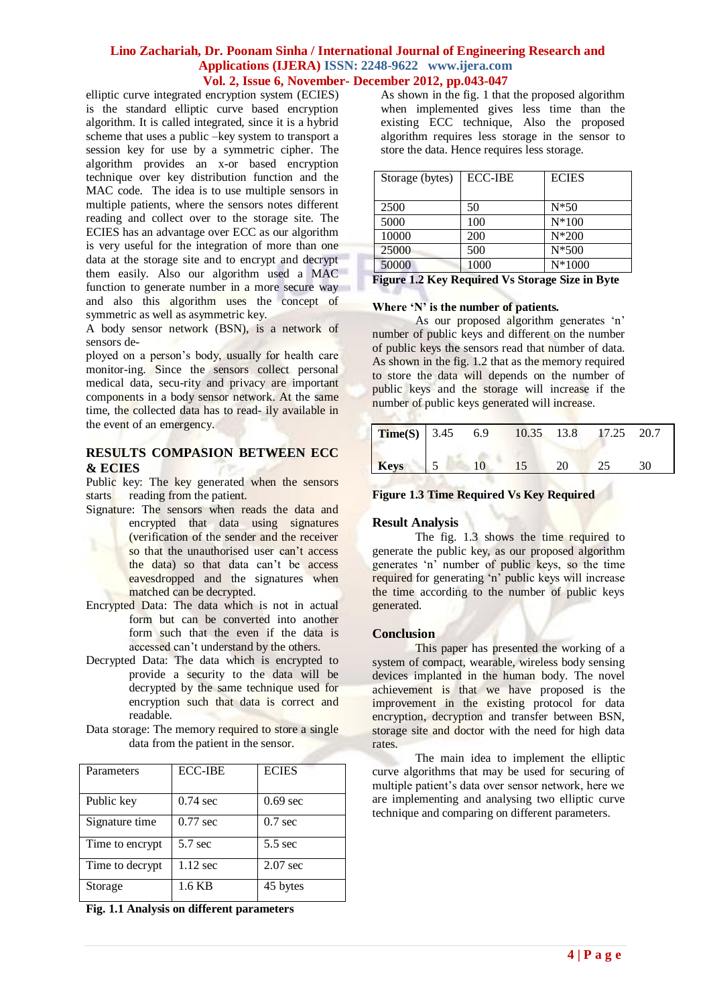elliptic curve integrated encryption system (ECIES) is the standard elliptic curve based encryption algorithm. It is called integrated, since it is a hybrid scheme that uses a public –key system to transport a session key for use by a symmetric cipher. The algorithm provides an x-or based encryption technique over key distribution function and the MAC code. The idea is to use multiple sensors in multiple patients, where the sensors notes different reading and collect over to the storage site. The ECIES has an advantage over ECC as our algorithm is very useful for the integration of more than one data at the storage site and to encrypt and decrypt them easily. Also our algorithm used a MAC function to generate number in a more secure way and also this algorithm uses the concept of symmetric as well as asymmetric key.

A body sensor network (BSN), is a network of sensors de-

ployed on a person's body, usually for health care monitor-ing. Since the sensors collect personal medical data, secu-rity and privacy are important components in a body sensor network. At the same time, the collected data has to read- ily available in the event of an emergency.

## **RESULTS COMPASION BETWEEN ECC & ECIES**

Public key: The key generated when the sensors starts reading from the patient.

- Signature: The sensors when reads the data and encrypted that data using signatures (verification of the sender and the receiver so that the unauthorised user can't access the data) so that data can't be access eavesdropped and the signatures when matched can be decrypted.
- Encrypted Data: The data which is not in actual form but can be converted into another form such that the even if the data is accessed can't understand by the others.
- Decrypted Data: The data which is encrypted to provide a security to the data will be decrypted by the same technique used for encryption such that data is correct and readable.
- Data storage: The memory required to store a single data from the patient in the sensor.

| Parameters      | <b>ECC-IBE</b> | <b>ECIES</b>      |
|-----------------|----------------|-------------------|
| Public key      | $0.74$ sec     | $0.69$ sec        |
| Signature time  | $0.77$ sec     | $0.7 \text{ sec}$ |
| Time to encrypt | 5.7 sec        | $5.5$ sec         |
| Time to decrypt | $1.12$ sec     | $2.07$ sec        |
| Storage         | 1.6 KB         | 45 bytes          |

**Fig. 1.1 Analysis on different parameters**

As shown in the fig. 1 that the proposed algorithm when implemented gives less time than the existing ECC technique, Also the proposed algorithm requires less storage in the sensor to store the data. Hence requires less storage.

| Storage (bytes) | <b>ECC-IBE</b> | <b>ECIES</b> |  |
|-----------------|----------------|--------------|--|
|                 |                |              |  |
| 2500            | 50             | $N*50$       |  |
| 5000            | 100            | $N*100$      |  |
| 10000           | 200            | $N*200$      |  |
| 25000           | 500            | $N*500$      |  |
| 50000           | 1000           | $N*1000$     |  |

**Figure 1.2 Key Required Vs Storage Size in Byte**

### **Where 'N' is the number of patients.**

As our proposed algorithm generates 'n' number of public keys and different on the number of public keys the sensors read that number of data. As shown in the fig. 1.2 that as the memory required to store the data will depends on the number of public keys and the storage will increase if the number of public keys generated will increase.

| <b>Time(S)</b> 3.45 6.9 |  |  | 10.35 13.8 17.25 20.7 |  |
|-------------------------|--|--|-----------------------|--|
| <b>Keys</b>             |  |  |                       |  |

### **Figure 1.3 Time Required Vs Key Required**

### **Result Analysis**

The fig. 1.3 shows the time required to generate the public key, as our proposed algorithm generates 'n' number of public keys, so the time required for generating 'n' public keys will increase the time according to the number of public keys generated.

### **Conclusion**

This paper has presented the working of a system of compact, wearable, wireless body sensing devices implanted in the human body. The novel achievement is that we have proposed is the improvement in the existing protocol for data encryption, decryption and transfer between BSN, storage site and doctor with the need for high data rates.

The main idea to implement the elliptic curve algorithms that may be used for securing of multiple patient's data over sensor network, here we are implementing and analysing two elliptic curve technique and comparing on different parameters.